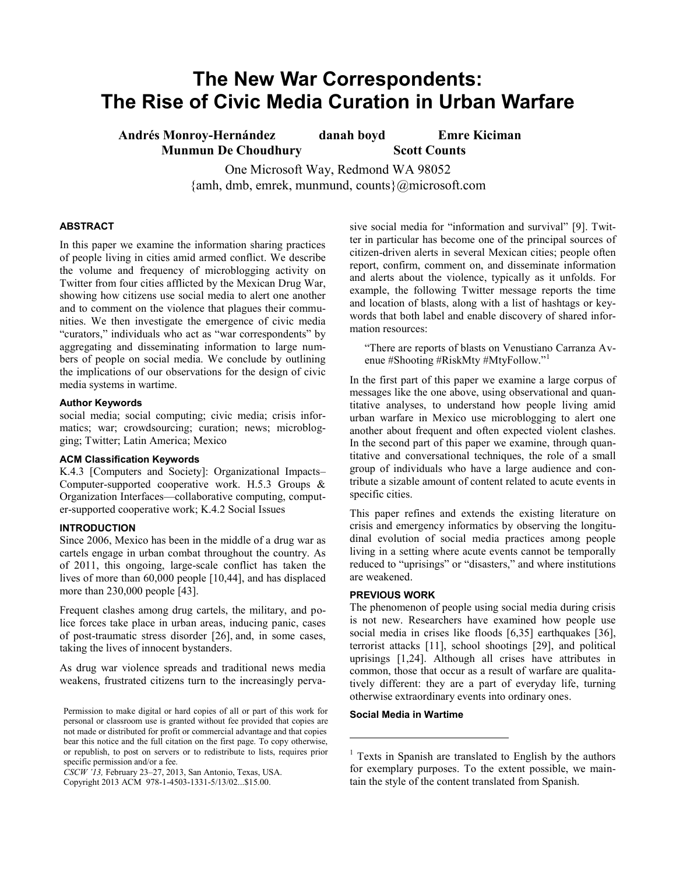# **The New War Correspondents: The Rise of Civic Media Curation in Urban Warfare**

**Andrés Monroy-Hernández danah boyd Emre Kiciman Munmun De Choudhury Scott Counts** 

> One Microsoft Way, Redmond WA 98052  $\{\text{amb}, \text{dmb}, \text{emrek}, \text{munmund}, \text{counts}\}$  @microsoft.com

# **ABSTRACT**

In this paper we examine the information sharing practices of people living in cities amid armed conflict. We describe the volume and frequency of microblogging activity on Twitter from four cities afflicted by the Mexican Drug War, showing how citizens use social media to alert one another and to comment on the violence that plagues their communities. We then investigate the emergence of civic media "curators," individuals who act as "war correspondents" by aggregating and disseminating information to large numbers of people on social media. We conclude by outlining the implications of our observations for the design of civic media systems in wartime.

#### **Author Keywords**

social media; social computing; civic media; crisis informatics; war; crowdsourcing; curation; news; microblogging; Twitter; Latin America; Mexico

#### **ACM Classification Keywords**

K.4.3 [Computers and Society]: Organizational Impacts– Computer-supported cooperative work. H.5.3 Groups & Organization Interfaces—collaborative computing, computer-supported cooperative work; K.4.2 Social Issues

# **INTRODUCTION**

Since 2006, Mexico has been in the middle of a drug war as cartels engage in urban combat throughout the country. As of 2011, this ongoing, large-scale conflict has taken the lives of more than 60,000 people [10,44], and has displaced more than 230,000 people [43].

Frequent clashes among drug cartels, the military, and police forces take place in urban areas, inducing panic, cases of post-traumatic stress disorder [26], and, in some cases, taking the lives of innocent bystanders.

As drug war violence spreads and traditional news media weakens, frustrated citizens turn to the increasingly perva-

*CSCW '13,* February 23–27, 2013, San Antonio, Texas, USA. Copyright 2013 ACM 978-1-4503-1331-5/13/02...\$15.00.

sive social media for "information and survival" [9]. Twitter in particular has become one of the principal sources of citizen-driven alerts in several Mexican cities; people often report, confirm, comment on, and disseminate information and alerts about the violence, typically as it unfolds. For example, the following Twitter message reports the time and location of blasts, along with a list of hashtags or keywords that both label and enable discovery of shared information resources:

"There are reports of blasts on Venustiano Carranza Avenue #Shooting #RiskMty #MtyFollow."<sup>1</sup>

In the first part of this paper we examine a large corpus of messages like the one above, using observational and quantitative analyses, to understand how people living amid urban warfare in Mexico use microblogging to alert one another about frequent and often expected violent clashes. In the second part of this paper we examine, through quantitative and conversational techniques, the role of a small group of individuals who have a large audience and contribute a sizable amount of content related to acute events in specific cities.

This paper refines and extends the existing literature on crisis and emergency informatics by observing the longitudinal evolution of social media practices among people living in a setting where acute events cannot be temporally reduced to "uprisings" or "disasters," and where institutions are weakened.

# **PREVIOUS WORK**

The phenomenon of people using social media during crisis is not new. Researchers have examined how people use social media in crises like floods [6,35] earthquakes [36], terrorist attacks [11], school shootings [29], and political uprisings [1,24]. Although all crises have attributes in common, those that occur as a result of warfare are qualitatively different: they are a part of everyday life, turning otherwise extraordinary events into ordinary ones.

#### **Social Media in Wartime**

l

Permission to make digital or hard copies of all or part of this work for personal or classroom use is granted without fee provided that copies are not made or distributed for profit or commercial advantage and that copies bear this notice and the full citation on the first page. To copy otherwise, or republish, to post on servers or to redistribute to lists, requires prior specific permission and/or a fee.

 $<sup>1</sup>$  Texts in Spanish are translated to English by the authors</sup> for exemplary purposes. To the extent possible, we maintain the style of the content translated from Spanish.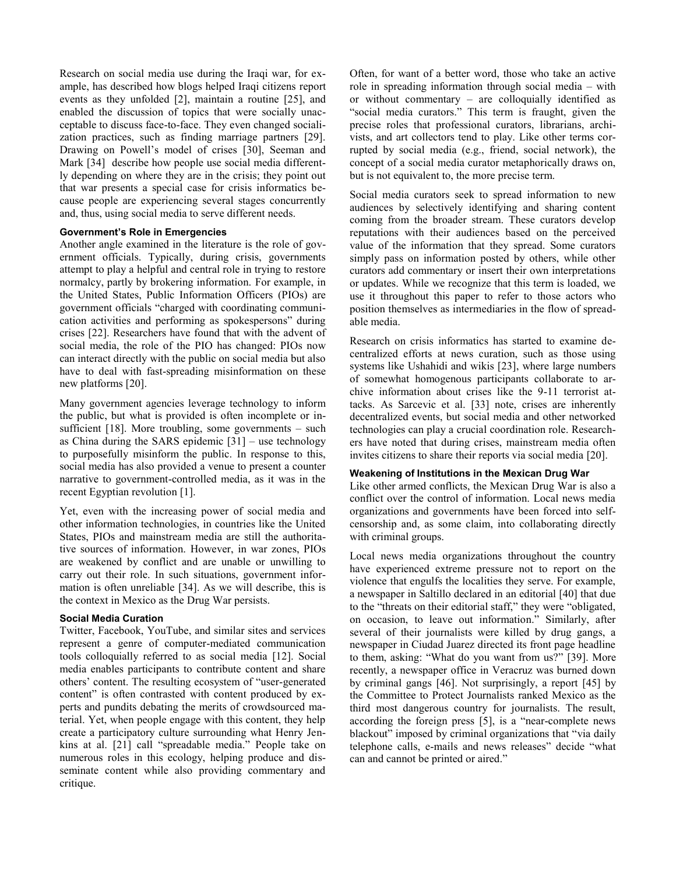Research on social media use during the Iraqi war, for example, has described how blogs helped Iraqi citizens report events as they unfolded [2], maintain a routine [25], and enabled the discussion of topics that were socially unacceptable to discuss face-to-face. They even changed socialization practices, such as finding marriage partners [29]. Drawing on Powell's model of crises [30], Seeman and Mark [34] describe how people use social media differently depending on where they are in the crisis; they point out that war presents a special case for crisis informatics because people are experiencing several stages concurrently and, thus, using social media to serve different needs.

# **Government's Role in Emergencies**

Another angle examined in the literature is the role of government officials. Typically, during crisis, governments attempt to play a helpful and central role in trying to restore normalcy, partly by brokering information. For example, in the United States, Public Information Officers (PIOs) are government officials "charged with coordinating communication activities and performing as spokespersons" during crises [22]. Researchers have found that with the advent of social media, the role of the PIO has changed: PIOs now can interact directly with the public on social media but also have to deal with fast-spreading misinformation on these new platforms [20].

Many government agencies leverage technology to inform the public, but what is provided is often incomplete or insufficient [18]. More troubling, some governments – such as China during the SARS epidemic [31] – use technology to purposefully misinform the public. In response to this, social media has also provided a venue to present a counter narrative to government-controlled media, as it was in the recent Egyptian revolution [1].

Yet, even with the increasing power of social media and other information technologies, in countries like the United States, PIOs and mainstream media are still the authoritative sources of information. However, in war zones, PIOs are weakened by conflict and are unable or unwilling to carry out their role. In such situations, government information is often unreliable [34]. As we will describe, this is the context in Mexico as the Drug War persists.

# **Social Media Curation**

Twitter, Facebook, YouTube, and similar sites and services represent a genre of computer-mediated communication tools colloquially referred to as social media [12]. Social media enables participants to contribute content and share others' content. The resulting ecosystem of "user-generated content" is often contrasted with content produced by experts and pundits debating the merits of crowdsourced material. Yet, when people engage with this content, they help create a participatory culture surrounding what Henry Jenkins at al. [21] call "spreadable media." People take on numerous roles in this ecology, helping produce and disseminate content while also providing commentary and critique.

Often, for want of a better word, those who take an active role in spreading information through social media – with or without commentary – are colloquially identified as "social media curators." This term is fraught, given the precise roles that professional curators, librarians, archivists, and art collectors tend to play. Like other terms corrupted by social media (e.g., friend, social network), the concept of a social media curator metaphorically draws on, but is not equivalent to, the more precise term.

Social media curators seek to spread information to new audiences by selectively identifying and sharing content coming from the broader stream. These curators develop reputations with their audiences based on the perceived value of the information that they spread. Some curators simply pass on information posted by others, while other curators add commentary or insert their own interpretations or updates. While we recognize that this term is loaded, we use it throughout this paper to refer to those actors who position themselves as intermediaries in the flow of spreadable media.

Research on crisis informatics has started to examine decentralized efforts at news curation, such as those using systems like Ushahidi and wikis [23], where large numbers of somewhat homogenous participants collaborate to archive information about crises like the 9-11 terrorist attacks. As Sarcevic et al. [33] note, crises are inherently decentralized events, but social media and other networked technologies can play a crucial coordination role. Researchers have noted that during crises, mainstream media often invites citizens to share their reports via social media [20].

#### **Weakening of Institutions in the Mexican Drug War**

Like other armed conflicts, the Mexican Drug War is also a conflict over the control of information. Local news media organizations and governments have been forced into selfcensorship and, as some claim, into collaborating directly with criminal groups.

Local news media organizations throughout the country have experienced extreme pressure not to report on the violence that engulfs the localities they serve. For example, a newspaper in Saltillo declared in an editorial [40] that due to the "threats on their editorial staff," they were "obligated, on occasion, to leave out information." Similarly, after several of their journalists were killed by drug gangs, a newspaper in Ciudad Juarez directed its front page headline to them, asking: "What do you want from us?" [39]. More recently, a newspaper office in Veracruz was burned down by criminal gangs [46]. Not surprisingly, a report [45] by the Committee to Protect Journalists ranked Mexico as the third most dangerous country for journalists. The result, according the foreign press [5], is a "near-complete news blackout" imposed by criminal organizations that "via daily telephone calls, e-mails and news releases" decide "what can and cannot be printed or aired."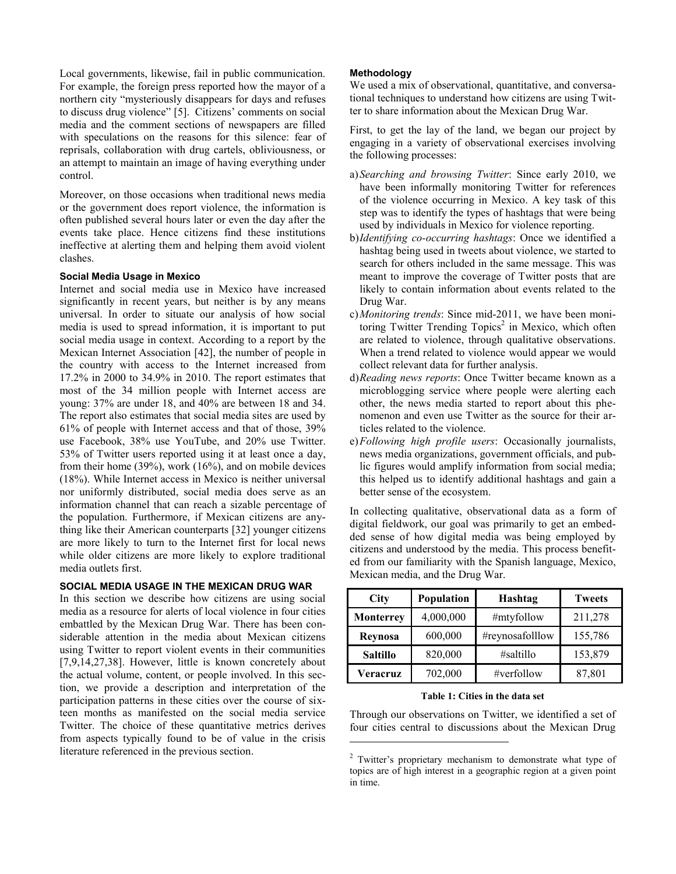Local governments, likewise, fail in public communication. For example, the foreign press reported how the mayor of a northern city "mysteriously disappears for days and refuses to discuss drug violence" [5]. Citizens' comments on social media and the comment sections of newspapers are filled with speculations on the reasons for this silence: fear of reprisals, collaboration with drug cartels, obliviousness, or an attempt to maintain an image of having everything under control.

Moreover, on those occasions when traditional news media or the government does report violence, the information is often published several hours later or even the day after the events take place. Hence citizens find these institutions ineffective at alerting them and helping them avoid violent clashes.

#### **Social Media Usage in Mexico**

Internet and social media use in Mexico have increased significantly in recent years, but neither is by any means universal. In order to situate our analysis of how social media is used to spread information, it is important to put social media usage in context. According to a report by the Mexican Internet Association [42], the number of people in the country with access to the Internet increased from 17.2% in 2000 to 34.9% in 2010. The report estimates that most of the 34 million people with Internet access are young: 37% are under 18, and 40% are between 18 and 34. The report also estimates that social media sites are used by 61% of people with Internet access and that of those, 39% use Facebook, 38% use YouTube, and 20% use Twitter. 53% of Twitter users reported using it at least once a day, from their home (39%), work (16%), and on mobile devices (18%). While Internet access in Mexico is neither universal nor uniformly distributed, social media does serve as an information channel that can reach a sizable percentage of the population. Furthermore, if Mexican citizens are anything like their American counterparts [32] younger citizens are more likely to turn to the Internet first for local news while older citizens are more likely to explore traditional media outlets first.

#### **SOCIAL MEDIA USAGE IN THE MEXICAN DRUG WAR**

In this section we describe how citizens are using social media as a resource for alerts of local violence in four cities embattled by the Mexican Drug War. There has been considerable attention in the media about Mexican citizens using Twitter to report violent events in their communities [7,9,14,27,38]. However, little is known concretely about the actual volume, content, or people involved. In this section, we provide a description and interpretation of the participation patterns in these cities over the course of sixteen months as manifested on the social media service Twitter. The choice of these quantitative metrics derives from aspects typically found to be of value in the crisis literature referenced in the previous section.

# **Methodology**

We used a mix of observational, quantitative, and conversational techniques to understand how citizens are using Twitter to share information about the Mexican Drug War.

First, to get the lay of the land, we began our project by engaging in a variety of observational exercises involving the following processes:

- a)*Searching and browsing Twitter*: Since early 2010, we have been informally monitoring Twitter for references of the violence occurring in Mexico. A key task of this step was to identify the types of hashtags that were being used by individuals in Mexico for violence reporting.
- b)*Identifying co-occurring hashtags*: Once we identified a hashtag being used in tweets about violence, we started to search for others included in the same message. This was meant to improve the coverage of Twitter posts that are likely to contain information about events related to the Drug War.
- c)*Monitoring trends*: Since mid-2011, we have been monitoring Twitter Trending Topics<sup>2</sup> in Mexico, which often are related to violence, through qualitative observations. When a trend related to violence would appear we would collect relevant data for further analysis.
- d)*Reading news reports*: Once Twitter became known as a microblogging service where people were alerting each other, the news media started to report about this phenomenon and even use Twitter as the source for their articles related to the violence.
- e)*Following high profile users*: Occasionally journalists, news media organizations, government officials, and public figures would amplify information from social media; this helped us to identify additional hashtags and gain a better sense of the ecosystem.

In collecting qualitative, observational data as a form of digital fieldwork, our goal was primarily to get an embedded sense of how digital media was being employed by citizens and understood by the media. This process benefited from our familiarity with the Spanish language, Mexico, Mexican media, and the Drug War.

| <b>City</b>      | Population | Hashtag         | <b>Tweets</b> |
|------------------|------------|-----------------|---------------|
| <b>Monterrey</b> | 4,000,000  | #mtyfollow      | 211,278       |
| <b>Reynosa</b>   | 600,000    | #reynosafolllow | 155,786       |
| <b>Saltillo</b>  | 820,000    | #saltillo       | 153,879       |
| Veracruz         | 702,000    | #verfollow      | 87,801        |

#### **Table 1: Cities in the data set**

Through our observations on Twitter, we identified a set of four cities central to discussions about the Mexican Drug

l

<sup>&</sup>lt;sup>2</sup> Twitter's proprietary mechanism to demonstrate what type of topics are of high interest in a geographic region at a given point in time.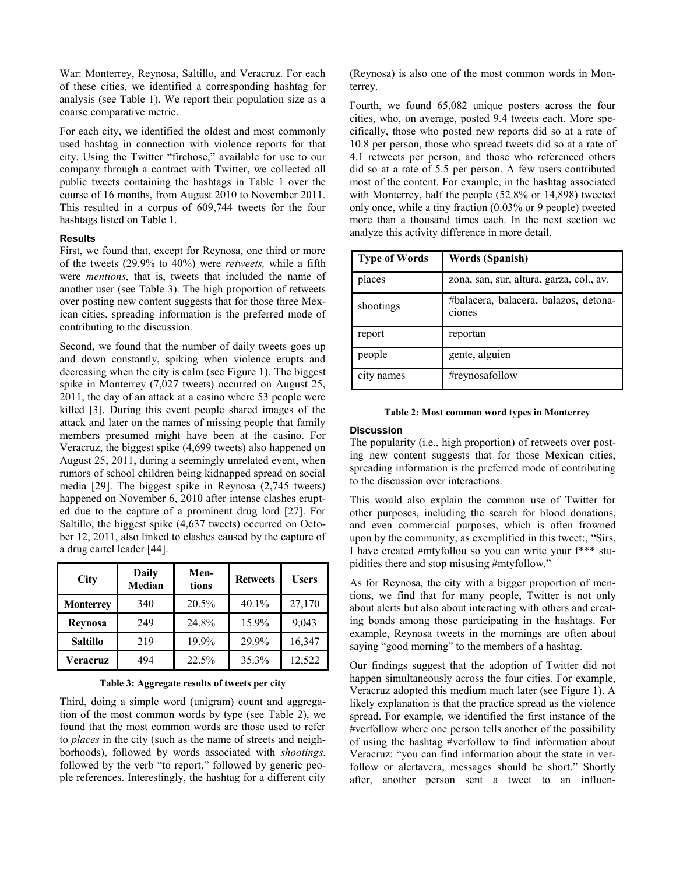War: Monterrey, Reynosa, Saltillo, and Veracruz. For each of these cities, we identified a corresponding hashtag for analysis (see Table 1). We report their population size as a coarse comparative metric.

For each city, we identified the oldest and most commonly used hashtag in connection with violence reports for that city. Using the Twitter "firehose," available for use to our company through a contract with Twitter, we collected all public tweets containing the hashtags in Table 1 over the course of 16 months, from August 2010 to November 2011. This resulted in a corpus of 609,744 tweets for the four hashtags listed on Table 1.

#### **Results**

First, we found that, except for Reynosa, one third or more of the tweets (29.9% to 40%) were *retweets,* while a fifth were *mentions*, that is, tweets that included the name of another user (see [Table 3\)](#page-3-0). The high proportion of retweets over posting new content suggests that for those three Mexican cities, spreading information is the preferred mode of contributing to the discussion.

Second, we found that the number of daily tweets goes up and down constantly, spiking when violence erupts and decreasing when the city is calm (see Figure 1). The biggest spike in Monterrey (7,027 tweets) occurred on August 25, 2011, the day of an attack at a casino where 53 people were killed [3]. During this event people shared images of the attack and later on the names of missing people that family members presumed might have been at the casino. For Veracruz, the biggest spike (4,699 tweets) also happened on August 25, 2011, during a seemingly unrelated event, when rumors of school children being kidnapped spread on social media [29]. The biggest spike in Reynosa (2,745 tweets) happened on November 6, 2010 after intense clashes erupted due to the capture of a prominent drug lord [27]. For Saltillo, the biggest spike (4,637 tweets) occurred on October 12, 2011, also linked to clashes caused by the capture of a drug cartel leader [44].

| City             | <b>Daily</b><br>Median | Men-<br>tions | <b>Retweets</b> | <b>Users</b> |
|------------------|------------------------|---------------|-----------------|--------------|
| <b>Monterrey</b> | 340                    | 20.5%         | 40.1%           | 27,170       |
| <b>Reynosa</b>   | 249                    | 24.8%         | 15.9%           | 9,043        |
| <b>Saltillo</b>  | 219                    | 19.9%         | 29.9%           | 16,347       |
| Veracruz         | 494                    | 22.5%         | 35.3%           | 12,522       |

**Table 3: Aggregate results of tweets per city**

<span id="page-3-0"></span>Third, doing a simple word (unigram) count and aggregation of the most common words by type (see [Table 2\)](#page-3-1), we found that the most common words are those used to refer to *places* in the city (such as the name of streets and neighborhoods), followed by words associated with *shootings*, followed by the verb "to report," followed by generic people references. Interestingly, the hashtag for a different city (Reynosa) is also one of the most common words in Monterrey.

Fourth, we found 65,082 unique posters across the four cities, who, on average, posted 9.4 tweets each. More specifically, those who posted new reports did so at a rate of 10.8 per person, those who spread tweets did so at a rate of 4.1 retweets per person, and those who referenced others did so at a rate of 5.5 per person. A few users contributed most of the content. For example, in the hashtag associated with Monterrey, half the people (52.8% or 14,898) tweeted only once, while a tiny fraction (0.03% or 9 people) tweeted more than a thousand times each. In the next section we analyze this activity difference in more detail.

| <b>Type of Words</b> | <b>Words (Spanish)</b>                          |
|----------------------|-------------------------------------------------|
| places               | zona, san, sur, altura, garza, col., av.        |
| shootings            | #balacera, balacera, balazos, detona-<br>ciones |
| report               | reportan                                        |
| people               | gente, alguien                                  |
| city names           | #reynosafollow                                  |

#### **Table 2: Most common word types in Monterrey**

#### <span id="page-3-1"></span>**Discussion**

The popularity (i.e., high proportion) of retweets over posting new content suggests that for those Mexican cities, spreading information is the preferred mode of contributing to the discussion over interactions.

This would also explain the common use of Twitter for other purposes, including the search for blood donations, and even commercial purposes, which is often frowned upon by the community, as exemplified in this tweet:, "Sirs, I have created #mtyfollou so you can write your f\*\*\* stupidities there and stop misusing #mtyfollow."

As for Reynosa, the city with a bigger proportion of mentions, we find that for many people, Twitter is not only about alerts but also about interacting with others and creating bonds among those participating in the hashtags. For example, Reynosa tweets in the mornings are often about saying "good morning" to the members of a hashtag.

Our findings suggest that the adoption of Twitter did not happen simultaneously across the four cities. For example, Veracruz adopted this medium much later (see Figure 1). A likely explanation is that the practice spread as the violence spread. For example, we identified the first instance of the #verfollow where one person tells another of the possibility of using the hashtag #verfollow to find information about Veracruz: "you can find information about the state in verfollow or alertavera, messages should be short." Shortly after, another person sent a tweet to an influen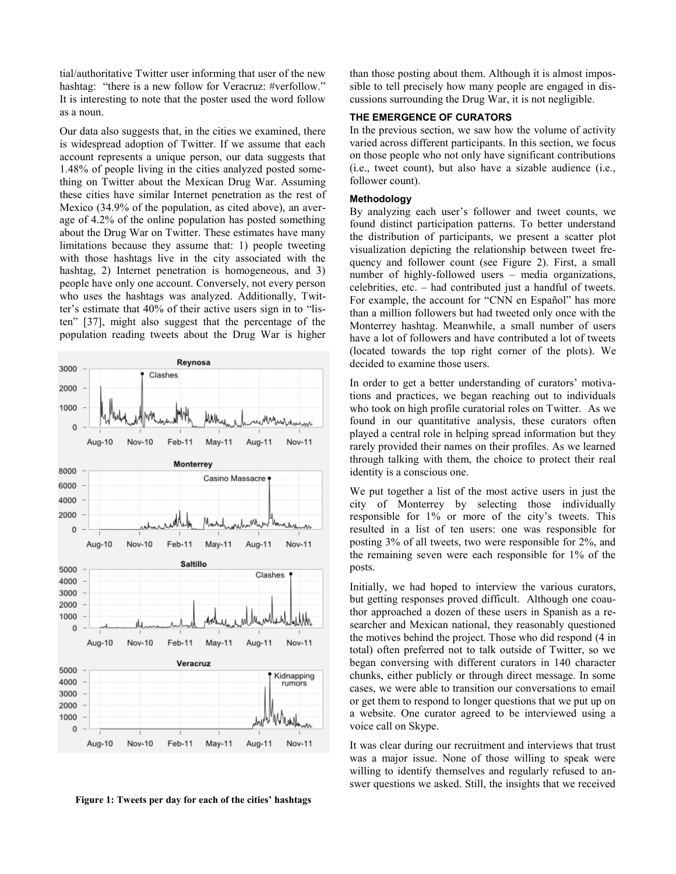tial/authoritative Twitter user informing that user of the new hashtag: "there is a new follow for Veracruz: #verfollow." It is interesting to note that the poster used the word follow as a noun.

Our data also suggests that, in the cities we examined, there is widespread adoption of Twitter. If we assume that each account represents a unique person, our data suggests that 1.48% of people living in the cities analyzed posted something on Twitter about the Mexican Drug War. Assuming these cities have similar Internet penetration as the rest of Mexico (34.9% of the population, as cited above), an average of 4.2% of the online population has posted something about the Drug War on Twitter. These estimates have many limitations because they assume that: 1) people tweeting with those hashtags live in the city associated with the hashtag, 2) Internet penetration is homogeneous, and 3) people have only one account. Conversely, not every person who uses the hashtags was analyzed. Additionally, Twitter's estimate that 40% of their active users sign in to "listen" [37], might also suggest that the percentage of the population reading tweets about the Drug War is higher

Revnosa 3000 Clashes 2000 1000 0 Nov-10 May-1 Aug-10 Feb-11 Aug-11 Nov-11 Monterrey 8000 Casino Massacre 6000 4000 2000 0 Aug-10 Nov-10 Feb-11 May-11 Aug-11 Nov-11 Saltillo 5000 Clashes 4000 3000 2000 1000  $\Omega$ Nov-10 Feb-11 May-1 Aug-11 Nov-11 Aug-10 Veracruz 5000 Kidnapping 4000 rumors 3000 2000 1000  $\mathbf 0$ Aug-10 Nov-10 Feb-11 May-11 Nov-11 Aug-11

**Figure 1: Tweets per day for each of the cities' hashtags**

than those posting about them. Although it is almost impossible to tell precisely how many people are engaged in discussions surrounding the Drug War, it is not negligible.

# **THE EMERGENCE OF CURATORS**

In the previous section, we saw how the volume of activity varied across different participants. In this section, we focus on those people who not only have significant contributions (i.e., tweet count), but also have a sizable audience (i.e., follower count).

# **Methodology**

By analyzing each user's follower and tweet counts, we found distinct participation patterns. To better understand the distribution of participants, we present a scatter plot visualization depicting the relationship between tweet frequency and follower count (see Figure 2). First, a small number of highly-followed users – media organizations, celebrities, etc. – had contributed just a handful of tweets. For example, the account for "CNN en Español" has more than a million followers but had tweeted only once with the Monterrey hashtag. Meanwhile, a small number of users have a lot of followers and have contributed a lot of tweets (located towards the top right corner of the plots). We decided to examine those users.

In order to get a better understanding of curators' motivations and practices, we began reaching out to individuals who took on high profile curatorial roles on Twitter. As we found in our quantitative analysis, these curators often played a central role in helping spread information but they rarely provided their names on their profiles. As we learned through talking with them, the choice to protect their real identity is a conscious one.

We put together a list of the most active users in just the city of Monterrey by selecting those individually responsible for 1% or more of the city's tweets. This resulted in a list of ten users: one was responsible for posting 3% of all tweets, two were responsible for 2%, and the remaining seven were each responsible for 1% of the posts.

Initially, we had hoped to interview the various curators, but getting responses proved difficult. Although one coauthor approached a dozen of these users in Spanish as a researcher and Mexican national, they reasonably questioned the motives behind the project. Those who did respond (4 in total) often preferred not to talk outside of Twitter, so we began conversing with different curators in 140 character chunks, either publicly or through direct message. In some cases, we were able to transition our conversations to email or get them to respond to longer questions that we put up on a website. One curator agreed to be interviewed using a voice call on Skype.

It was clear during our recruitment and interviews that trust was a major issue. None of those willing to speak were willing to identify themselves and regularly refused to answer questions we asked. Still, the insights that we received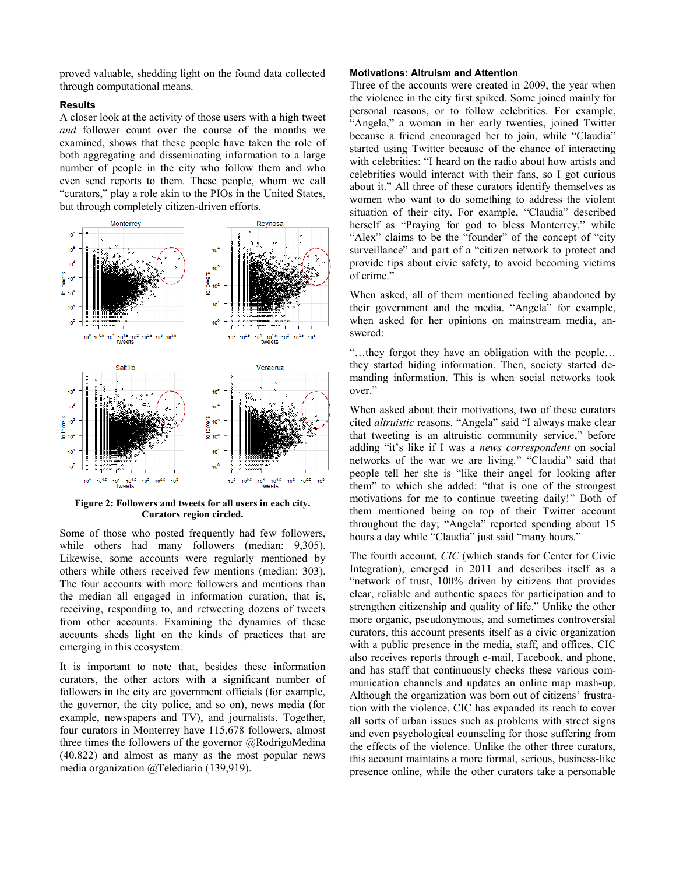proved valuable, shedding light on the found data collected through computational means.

#### **Results**

A closer look at the activity of those users with a high tweet *and* follower count over the course of the months we examined, shows that these people have taken the role of both aggregating and disseminating information to a large number of people in the city who follow them and who even send reports to them. These people, whom we call "curators," play a role akin to the PIOs in the United States, but through completely citizen-driven efforts.



**Figure 2: Followers and tweets for all users in each city. Curators region circled.**

Some of those who posted frequently had few followers, while others had many followers (median: 9,305). Likewise, some accounts were regularly mentioned by others while others received few mentions (median: 303). The four accounts with more followers and mentions than the median all engaged in information curation, that is, receiving, responding to, and retweeting dozens of tweets from other accounts. Examining the dynamics of these accounts sheds light on the kinds of practices that are emerging in this ecosystem.

It is important to note that, besides these information curators, the other actors with a significant number of followers in the city are government officials (for example, the governor, the city police, and so on), news media (for example, newspapers and TV), and journalists. Together, four curators in Monterrey have 115,678 followers, almost three times the followers of the governor @RodrigoMedina (40,822) and almost as many as the most popular news media organization @Telediario (139,919).

#### **Motivations: Altruism and Attention**

Three of the accounts were created in 2009, the year when the violence in the city first spiked. Some joined mainly for personal reasons, or to follow celebrities. For example, "Angela," a woman in her early twenties, joined Twitter because a friend encouraged her to join, while "Claudia" started using Twitter because of the chance of interacting with celebrities: "I heard on the radio about how artists and celebrities would interact with their fans, so I got curious about it." All three of these curators identify themselves as women who want to do something to address the violent situation of their city. For example, "Claudia" described herself as "Praying for god to bless Monterrey," while "Alex" claims to be the "founder" of the concept of "city surveillance" and part of a "citizen network to protect and provide tips about civic safety, to avoid becoming victims of crime."

When asked, all of them mentioned feeling abandoned by their government and the media. "Angela" for example, when asked for her opinions on mainstream media, answered:

"…they forgot they have an obligation with the people… they started hiding information. Then, society started demanding information. This is when social networks took over."

When asked about their motivations, two of these curators cited *altruistic* reasons. "Angela" said "I always make clear that tweeting is an altruistic community service," before adding "it's like if I was a *news correspondent* on social networks of the war we are living." "Claudia" said that people tell her she is "like their angel for looking after them" to which she added: "that is one of the strongest motivations for me to continue tweeting daily!" Both of them mentioned being on top of their Twitter account throughout the day; "Angela" reported spending about 15 hours a day while "Claudia" just said "many hours."

The fourth account, *CIC* (which stands for Center for Civic Integration), emerged in 2011 and describes itself as a "network of trust, 100% driven by citizens that provides clear, reliable and authentic spaces for participation and to strengthen citizenship and quality of life." Unlike the other more organic, pseudonymous, and sometimes controversial curators, this account presents itself as a civic organization with a public presence in the media, staff, and offices. CIC also receives reports through e-mail, Facebook, and phone, and has staff that continuously checks these various communication channels and updates an online map mash-up. Although the organization was born out of citizens' frustration with the violence, CIC has expanded its reach to cover all sorts of urban issues such as problems with street signs and even psychological counseling for those suffering from the effects of the violence. Unlike the other three curators, this account maintains a more formal, serious, business-like presence online, while the other curators take a personable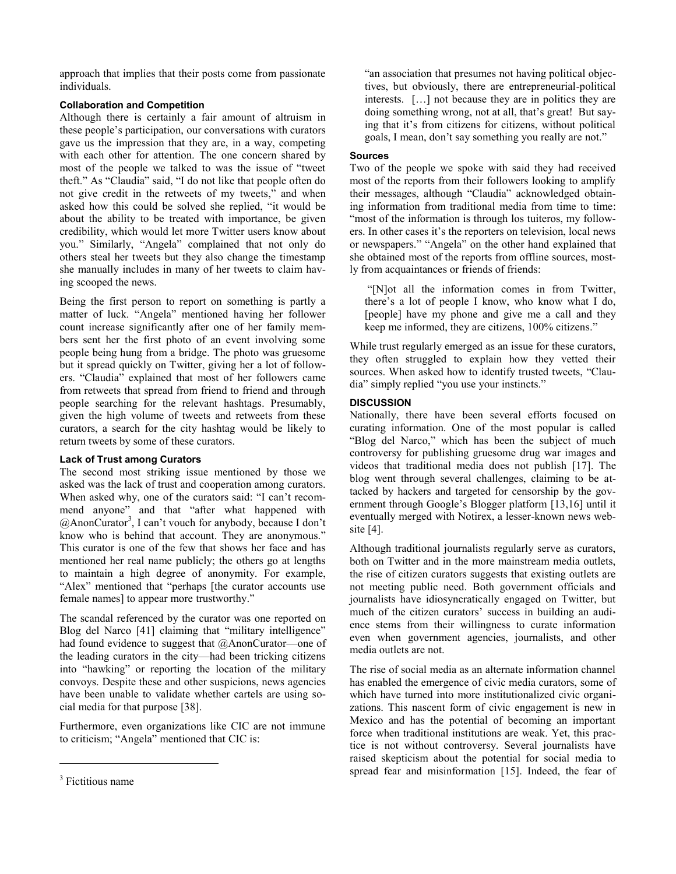approach that implies that their posts come from passionate individuals.

# **Collaboration and Competition**

Although there is certainly a fair amount of altruism in these people's participation, our conversations with curators gave us the impression that they are, in a way, competing with each other for attention. The one concern shared by most of the people we talked to was the issue of "tweet theft." As "Claudia" said, "I do not like that people often do not give credit in the retweets of my tweets," and when asked how this could be solved she replied, "it would be about the ability to be treated with importance, be given credibility, which would let more Twitter users know about you." Similarly, "Angela" complained that not only do others steal her tweets but they also change the timestamp she manually includes in many of her tweets to claim having scooped the news.

Being the first person to report on something is partly a matter of luck. "Angela" mentioned having her follower count increase significantly after one of her family members sent her the first photo of an event involving some people being hung from a bridge. The photo was gruesome but it spread quickly on Twitter, giving her a lot of followers. "Claudia" explained that most of her followers came from retweets that spread from friend to friend and through people searching for the relevant hashtags. Presumably, given the high volume of tweets and retweets from these curators, a search for the city hashtag would be likely to return tweets by some of these curators.

# **Lack of Trust among Curators**

The second most striking issue mentioned by those we asked was the lack of trust and cooperation among curators. When asked why, one of the curators said: "I can't recommend anyone" and that "after what happened with @AnonCurator<sup>3</sup>, I can't vouch for anybody, because I don't know who is behind that account. They are anonymous." This curator is one of the few that shows her face and has mentioned her real name publicly; the others go at lengths to maintain a high degree of anonymity. For example, "Alex" mentioned that "perhaps [the curator accounts use female names] to appear more trustworthy."

The scandal referenced by the curator was one reported on Blog del Narco [41] claiming that "military intelligence" had found evidence to suggest that @AnonCurator—one of the leading curators in the city—had been tricking citizens into "hawking" or reporting the location of the military convoys. Despite these and other suspicions, news agencies have been unable to validate whether cartels are using social media for that purpose [38].

Furthermore, even organizations like CIC are not immune to criticism; "Angela" mentioned that CIC is:

l

"an association that presumes not having political objectives, but obviously, there are entrepreneurial-political interests. […] not because they are in politics they are doing something wrong, not at all, that's great! But saying that it's from citizens for citizens, without political goals, I mean, don't say something you really are not."

# **Sources**

Two of the people we spoke with said they had received most of the reports from their followers looking to amplify their messages, although "Claudia" acknowledged obtaining information from traditional media from time to time: "most of the information is through los tuiteros, my followers. In other cases it's the reporters on television, local news or newspapers." "Angela" on the other hand explained that she obtained most of the reports from offline sources, mostly from acquaintances or friends of friends:

"[N]ot all the information comes in from Twitter, there's a lot of people I know, who know what I do, [people] have my phone and give me a call and they keep me informed, they are citizens, 100% citizens."

While trust regularly emerged as an issue for these curators, they often struggled to explain how they vetted their sources. When asked how to identify trusted tweets, "Claudia" simply replied "you use your instincts."

# **DISCUSSION**

Nationally, there have been several efforts focused on curating information. One of the most popular is called "Blog del Narco," which has been the subject of much controversy for publishing gruesome drug war images and videos that traditional media does not publish [17]. The blog went through several challenges, claiming to be attacked by hackers and targeted for censorship by the government through Google's Blogger platform [13,16] until it eventually merged with Notirex, a lesser-known news website [4].

Although traditional journalists regularly serve as curators, both on Twitter and in the more mainstream media outlets, the rise of citizen curators suggests that existing outlets are not meeting public need. Both government officials and journalists have idiosyncratically engaged on Twitter, but much of the citizen curators' success in building an audience stems from their willingness to curate information even when government agencies, journalists, and other media outlets are not.

The rise of social media as an alternate information channel has enabled the emergence of civic media curators, some of which have turned into more institutionalized civic organizations. This nascent form of civic engagement is new in Mexico and has the potential of becoming an important force when traditional institutions are weak. Yet, this practice is not without controversy. Several journalists have raised skepticism about the potential for social media to spread fear and misinformation [15]. Indeed, the fear of

<sup>&</sup>lt;sup>3</sup> Fictitious name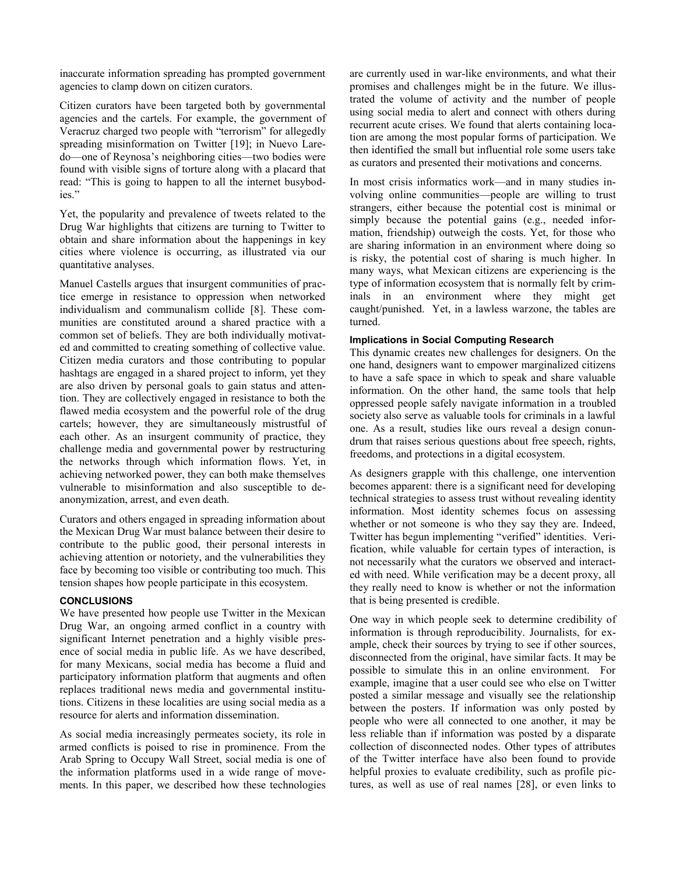inaccurate information spreading has prompted government agencies to clamp down on citizen curators.

Citizen curators have been targeted both by governmental agencies and the cartels. For example, the government of Veracruz charged two people with "terrorism" for allegedly spreading misinformation on Twitter [19]; in Nuevo Laredo—one of Reynosa's neighboring cities—two bodies were found with visible signs of torture along with a placard that read: "This is going to happen to all the internet busybodies."

Yet, the popularity and prevalence of tweets related to the Drug War highlights that citizens are turning to Twitter to obtain and share information about the happenings in key cities where violence is occurring, as illustrated via our quantitative analyses.

Manuel Castells argues that insurgent communities of practice emerge in resistance to oppression when networked individualism and communalism collide [8]. These communities are constituted around a shared practice with a common set of beliefs. They are both individually motivated and committed to creating something of collective value. Citizen media curators and those contributing to popular hashtags are engaged in a shared project to inform, yet they are also driven by personal goals to gain status and attention. They are collectively engaged in resistance to both the flawed media ecosystem and the powerful role of the drug cartels; however, they are simultaneously mistrustful of each other. As an insurgent community of practice, they challenge media and governmental power by restructuring the networks through which information flows. Yet, in achieving networked power, they can both make themselves vulnerable to misinformation and also susceptible to deanonymization, arrest, and even death.

Curators and others engaged in spreading information about the Mexican Drug War must balance between their desire to contribute to the public good, their personal interests in achieving attention or notoriety, and the vulnerabilities they face by becoming too visible or contributing too much. This tension shapes how people participate in this ecosystem.

# **CONCLUSIONS**

We have presented how people use Twitter in the Mexican Drug War, an ongoing armed conflict in a country with significant Internet penetration and a highly visible presence of social media in public life. As we have described, for many Mexicans, social media has become a fluid and participatory information platform that augments and often replaces traditional news media and governmental institutions. Citizens in these localities are using social media as a resource for alerts and information dissemination.

As social media increasingly permeates society, its role in armed conflicts is poised to rise in prominence. From the Arab Spring to Occupy Wall Street, social media is one of the information platforms used in a wide range of movements. In this paper, we described how these technologies

are currently used in war-like environments, and what their promises and challenges might be in the future. We illustrated the volume of activity and the number of people using social media to alert and connect with others during recurrent acute crises. We found that alerts containing location are among the most popular forms of participation. We then identified the small but influential role some users take as curators and presented their motivations and concerns.

In most crisis informatics work—and in many studies involving online communities—people are willing to trust strangers, either because the potential cost is minimal or simply because the potential gains (e.g., needed information, friendship) outweigh the costs. Yet, for those who are sharing information in an environment where doing so is risky, the potential cost of sharing is much higher. In many ways, what Mexican citizens are experiencing is the type of information ecosystem that is normally felt by criminals in an environment where they might get caught/punished. Yet, in a lawless warzone, the tables are turned.

# **Implications in Social Computing Research**

This dynamic creates new challenges for designers. On the one hand, designers want to empower marginalized citizens to have a safe space in which to speak and share valuable information. On the other hand, the same tools that help oppressed people safely navigate information in a troubled society also serve as valuable tools for criminals in a lawful one. As a result, studies like ours reveal a design conundrum that raises serious questions about free speech, rights, freedoms, and protections in a digital ecosystem.

As designers grapple with this challenge, one intervention becomes apparent: there is a significant need for developing technical strategies to assess trust without revealing identity information. Most identity schemes focus on assessing whether or not someone is who they say they are. Indeed, Twitter has begun implementing "verified" identities. Verification, while valuable for certain types of interaction, is not necessarily what the curators we observed and interacted with need. While verification may be a decent proxy, all they really need to know is whether or not the information that is being presented is credible.

One way in which people seek to determine credibility of information is through reproducibility. Journalists, for example, check their sources by trying to see if other sources, disconnected from the original, have similar facts. It may be possible to simulate this in an online environment. For example, imagine that a user could see who else on Twitter posted a similar message and visually see the relationship between the posters. If information was only posted by people who were all connected to one another, it may be less reliable than if information was posted by a disparate collection of disconnected nodes. Other types of attributes of the Twitter interface have also been found to provide helpful proxies to evaluate credibility, such as profile pictures, as well as use of real names [28], or even links to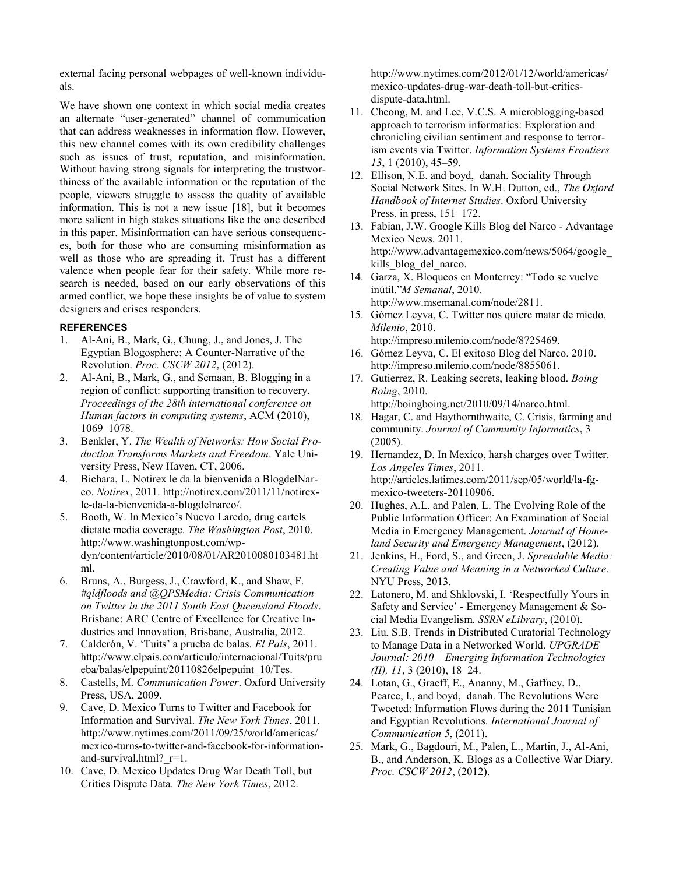external facing personal webpages of well-known individuals.

We have shown one context in which social media creates an alternate "user-generated" channel of communication that can address weaknesses in information flow. However, this new channel comes with its own credibility challenges such as issues of trust, reputation, and misinformation. Without having strong signals for interpreting the trustworthiness of the available information or the reputation of the people, viewers struggle to assess the quality of available information. This is not a new issue [18], but it becomes more salient in high stakes situations like the one described in this paper. Misinformation can have serious consequences, both for those who are consuming misinformation as well as those who are spreading it. Trust has a different valence when people fear for their safety. While more research is needed, based on our early observations of this armed conflict, we hope these insights be of value to system designers and crises responders.

# **REFERENCES**

- 1. Al-Ani, B., Mark, G., Chung, J., and Jones, J. The Egyptian Blogosphere: A Counter-Narrative of the Revolution. *Proc. CSCW 2012*, (2012).
- 2. Al-Ani, B., Mark, G., and Semaan, B. Blogging in a region of conflict: supporting transition to recovery. *Proceedings of the 28th international conference on Human factors in computing systems*, ACM (2010), 1069–1078.
- 3. Benkler, Y. *The Wealth of Networks: How Social Production Transforms Markets and Freedom*. Yale University Press, New Haven, CT, 2006.
- 4. Bichara, L. Notirex le da la bienvenida a BlogdelNarco. *Notirex*, 2011. http://notirex.com/2011/11/notirexle-da-la-bienvenida-a-blogdelnarco/.
- 5. Booth, W. In Mexico's Nuevo Laredo, drug cartels dictate media coverage. *The Washington Post*, 2010. http://www.washingtonpost.com/wpdyn/content/article/2010/08/01/AR2010080103481.ht ml.
- 6. Bruns, A., Burgess, J., Crawford, K., and Shaw, F. *#qldfloods and @QPSMedia: Crisis Communication on Twitter in the 2011 South East Queensland Floods*. Brisbane: ARC Centre of Excellence for Creative Industries and Innovation, Brisbane, Australia, 2012.
- 7. Calderón, V. 'Tuits' a prueba de balas. *El País*, 2011. http://www.elpais.com/articulo/internacional/Tuits/pru eba/balas/elpepuint/20110826elpepuint\_10/Tes.
- 8. Castells, M. *Communication Power*. Oxford University Press, USA, 2009.
- 9. Cave, D. Mexico Turns to Twitter and Facebook for Information and Survival. *The New York Times*, 2011. http://www.nytimes.com/2011/09/25/world/americas/ mexico-turns-to-twitter-and-facebook-for-informationand-survival.html? r=1.
- 10. Cave, D. Mexico Updates Drug War Death Toll, but Critics Dispute Data. *The New York Times*, 2012.

http://www.nytimes.com/2012/01/12/world/americas/ mexico-updates-drug-war-death-toll-but-criticsdispute-data.html.

- 11. Cheong, M. and Lee, V.C.S. A microblogging-based approach to terrorism informatics: Exploration and chronicling civilian sentiment and response to terrorism events via Twitter. *Information Systems Frontiers 13*, 1 (2010), 45–59.
- 12. Ellison, N.E. and boyd, danah. Sociality Through Social Network Sites. In W.H. Dutton, ed., *The Oxford Handbook of Internet Studies*. Oxford University Press, in press, 151–172.
- 13. Fabian, J.W. Google Kills Blog del Narco Advantage Mexico News. 2011. http://www.advantagemexico.com/news/5064/google\_ kills blog del narco.
- 14. Garza, X. Bloqueos en Monterrey: "Todo se vuelve inútil."*M Semanal*, 2010. http://www.msemanal.com/node/2811.
- 15. Gómez Leyva, C. Twitter nos quiere matar de miedo. *Milenio*, 2010. http://impreso.milenio.com/node/8725469.
- 16. Gómez Leyva, C. El exitoso Blog del Narco. 2010. http://impreso.milenio.com/node/8855061.
- 17. Gutierrez, R. Leaking secrets, leaking blood. *Boing Boing*, 2010. http://boingboing.net/2010/09/14/narco.html.
- 18. Hagar, C. and Haythornthwaite, C. Crisis, farming and community. *Journal of Community Informatics*, 3 (2005).
- 19. Hernandez, D. In Mexico, harsh charges over Twitter. *Los Angeles Times*, 2011. http://articles.latimes.com/2011/sep/05/world/la-fgmexico-tweeters-20110906.
- 20. Hughes, A.L. and Palen, L. The Evolving Role of the Public Information Officer: An Examination of Social Media in Emergency Management. *Journal of Homeland Security and Emergency Management*, (2012).
- 21. Jenkins, H., Ford, S., and Green, J. *Spreadable Media: Creating Value and Meaning in a Networked Culture*. NYU Press, 2013.
- 22. Latonero, M. and Shklovski, I. 'Respectfully Yours in Safety and Service' - Emergency Management & Social Media Evangelism. *SSRN eLibrary*, (2010).
- 23. Liu, S.B. Trends in Distributed Curatorial Technology to Manage Data in a Networked World. *UPGRADE Journal: 2010 – Emerging Information Technologies (II), 11*, 3 (2010), 18–24.
- 24. Lotan, G., Graeff, E., Ananny, M., Gaffney, D., Pearce, I., and boyd, danah. The Revolutions Were Tweeted: Information Flows during the 2011 Tunisian and Egyptian Revolutions. *International Journal of Communication 5*, (2011).
- 25. Mark, G., Bagdouri, M., Palen, L., Martin, J., Al-Ani, B., and Anderson, K. Blogs as a Collective War Diary. *Proc. CSCW 2012*, (2012).